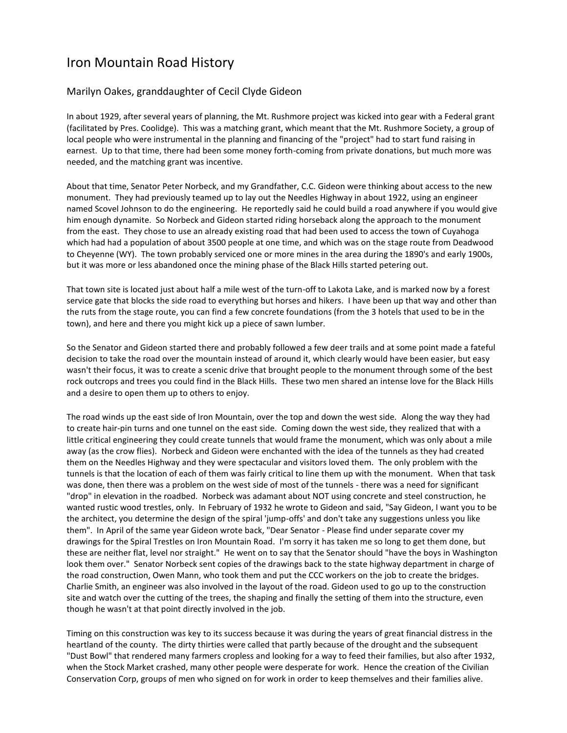## Iron Mountain Road History

## Marilyn Oakes, granddaughter of Cecil Clyde Gideon

In about 1929, after several years of planning, the Mt. Rushmore project was kicked into gear with a Federal grant (facilitated by Pres. Coolidge). This was a matching grant, which meant that the Mt. Rushmore Society, a group of local people who were instrumental in the planning and financing of the "project" had to start fund raising in earnest. Up to that time, there had been some money forth-coming from private donations, but much more was needed, and the matching grant was incentive.

About that time, Senator Peter Norbeck, and my Grandfather, C.C. Gideon were thinking about access to the new monument. They had previously teamed up to lay out the Needles Highway in about 1922, using an engineer named Scovel Johnson to do the engineering. He reportedly said he could build a road anywhere if you would give him enough dynamite. So Norbeck and Gideon started riding horseback along the approach to the monument from the east. They chose to use an already existing road that had been used to access the town of Cuyahoga which had had a population of about 3500 people at one time, and which was on the stage route from Deadwood to Cheyenne (WY). The town probably serviced one or more mines in the area during the 1890's and early 1900s, but it was more or less abandoned once the mining phase of the Black Hills started petering out.

That town site is located just about half a mile west of the turn-off to Lakota Lake, and is marked now by a forest service gate that blocks the side road to everything but horses and hikers. I have been up that way and other than the ruts from the stage route, you can find a few concrete foundations (from the 3 hotels that used to be in the town), and here and there you might kick up a piece of sawn lumber.

So the Senator and Gideon started there and probably followed a few deer trails and at some point made a fateful decision to take the road over the mountain instead of around it, which clearly would have been easier, but easy wasn't their focus, it was to create a scenic drive that brought people to the monument through some of the best rock outcrops and trees you could find in the Black Hills. These two men shared an intense love for the Black Hills and a desire to open them up to others to enjoy.

The road winds up the east side of Iron Mountain, over the top and down the west side. Along the way they had to create hair-pin turns and one tunnel on the east side. Coming down the west side, they realized that with a little critical engineering they could create tunnels that would frame the monument, which was only about a mile away (as the crow flies). Norbeck and Gideon were enchanted with the idea of the tunnels as they had created them on the Needles Highway and they were spectacular and visitors loved them. The only problem with the tunnels is that the location of each of them was fairly critical to line them up with the monument. When that task was done, then there was a problem on the west side of most of the tunnels - there was a need for significant "drop" in elevation in the roadbed. Norbeck was adamant about NOT using concrete and steel construction, he wanted rustic wood trestles, only. In February of 1932 he wrote to Gideon and said, "Say Gideon, I want you to be the architect, you determine the design of the spiral 'jump-offs' and don't take any suggestions unless you like them". In April of the same year Gideon wrote back, "Dear Senator - Please find under separate cover my drawings for the Spiral Trestles on Iron Mountain Road. I'm sorry it has taken me so long to get them done, but these are neither flat, level nor straight." He went on to say that the Senator should "have the boys in Washington look them over." Senator Norbeck sent copies of the drawings back to the state highway department in charge of the road construction, Owen Mann, who took them and put the CCC workers on the job to create the bridges. Charlie Smith, an engineer was also involved in the layout of the road. Gideon used to go up to the construction site and watch over the cutting of the trees, the shaping and finally the setting of them into the structure, even though he wasn't at that point directly involved in the job.

Timing on this construction was key to its success because it was during the years of great financial distress in the heartland of the county. The dirty thirties were called that partly because of the drought and the subsequent "Dust Bowl" that rendered many farmers cropless and looking for a way to feed their families, but also after 1932, when the Stock Market crashed, many other people were desperate for work. Hence the creation of the Civilian Conservation Corp, groups of men who signed on for work in order to keep themselves and their families alive.